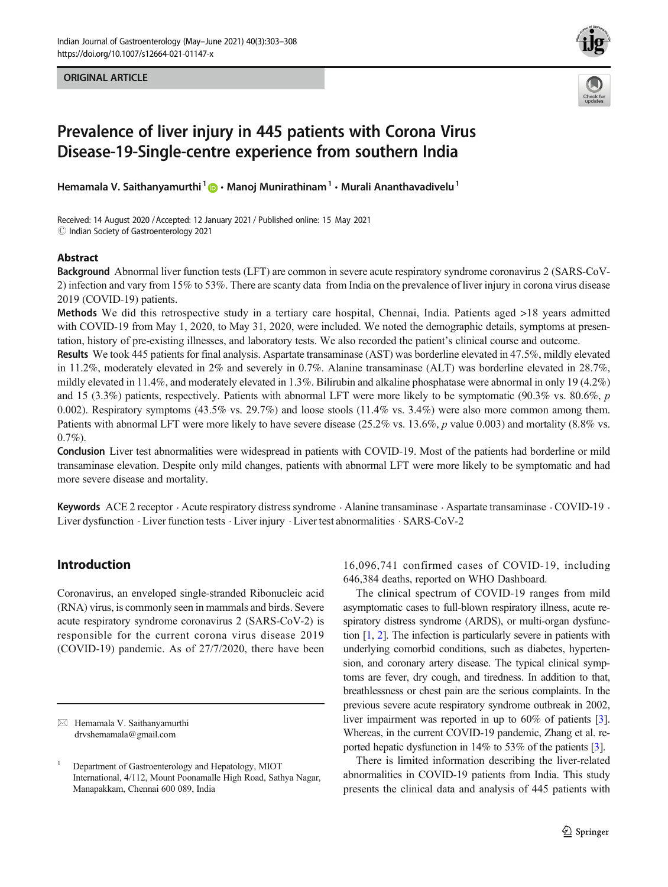ORIGINAL ARTICLE





# Prevalence of liver injury in 445 patients with Corona Virus Disease-19-Single-centre experience from southern India

Hemamala V. Saithanyamurthi<sup>1</sup>  $\bullet$  · Manoj Munirathinam<sup>1</sup> · Murali Ananthavadivelu<sup>1</sup>

Received: 14 August 2020 /Accepted: 12 January 2021 / Published online: 15 May 2021 $\odot$  Indian Society of Gastroenterology 2021

### Abstract

Background Abnormal liver function tests (LFT) are common in severe acute respiratory syndrome coronavirus 2 (SARS-CoV-2) infection and vary from 15% to 53%. There are scanty data from India on the prevalence of liver injury in corona virus disease 2019 (COVID-19) patients.

Methods We did this retrospective study in a tertiary care hospital, Chennai, India. Patients aged >18 years admitted with COVID-19 from May 1, 2020, to May 31, 2020, were included. We noted the demographic details, symptoms at presentation, history of pre-existing illnesses, and laboratory tests. We also recorded the patient's clinical course and outcome.

Results We took 445 patients for final analysis. Aspartate transaminase (AST) was borderline elevated in 47.5%, mildly elevated in 11.2%, moderately elevated in 2% and severely in 0.7%. Alanine transaminase (ALT) was borderline elevated in 28.7%, mildly elevated in 11.4%, and moderately elevated in 1.3%. Bilirubin and alkaline phosphatase were abnormal in only 19 (4.2%) and 15 (3.3%) patients, respectively. Patients with abnormal LFT were more likely to be symptomatic (90.3% vs. 80.6%,  $p$ ) 0.002). Respiratory symptoms (43.5% vs. 29.7%) and loose stools (11.4% vs. 3.4%) were also more common among them. Patients with abnormal LFT were more likely to have severe disease (25.2% vs. 13.6%, p value 0.003) and mortality (8.8% vs.  $0.7\%$ ).

Conclusion Liver test abnormalities were widespread in patients with COVID-19. Most of the patients had borderline or mild transaminase elevation. Despite only mild changes, patients with abnormal LFT were more likely to be symptomatic and had more severe disease and mortality.

Keywords ACE 2 receptor  $\cdot$  Acute respiratory distress syndrome  $\cdot$  Alanine transaminase  $\cdot$  Aspartate transaminase  $\cdot$  COVID-19  $\cdot$ Liver dysfunction . Liver function tests . Liver injury . Liver test abnormalities . SARS-CoV-2

### Introduction

Coronavirus, an enveloped single-stranded Ribonucleic acid (RNA) virus, is commonly seen in mammals and birds. Severe acute respiratory syndrome coronavirus 2 (SARS-CoV-2) is responsible for the current corona virus disease 2019 (COVID-19) pandemic. As of 27/7/2020, there have been

16,096,741 confirmed cases of COVID-19, including 646,384 deaths, reported on WHO Dashboard.

The clinical spectrum of COVID-19 ranges from mild asymptomatic cases to full-blown respiratory illness, acute respiratory distress syndrome (ARDS), or multi-organ dysfunction [[1](#page-5-0), [2](#page-5-0)]. The infection is particularly severe in patients with underlying comorbid conditions, such as diabetes, hypertension, and coronary artery disease. The typical clinical symptoms are fever, dry cough, and tiredness. In addition to that, breathlessness or chest pain are the serious complaints. In the previous severe acute respiratory syndrome outbreak in 2002, liver impairment was reported in up to 60% of patients [[3\]](#page-5-0). Whereas, in the current COVID-19 pandemic, Zhang et al. reported hepatic dysfunction in 14% to 53% of the patients [\[3\]](#page-5-0).

There is limited information describing the liver-related abnormalities in COVID-19 patients from India. This study presents the clinical data and analysis of 445 patients with

 $\boxtimes$  Hemamala V. Saithanyamurthi [drvshemamala@gmail.com](mailto:drvshemamala@gmail.com)

<sup>&</sup>lt;sup>1</sup> Department of Gastroenterology and Hepatology, MIOT International, 4/112, Mount Poonamalle High Road, Sathya Nagar, Manapakkam, Chennai 600 089, India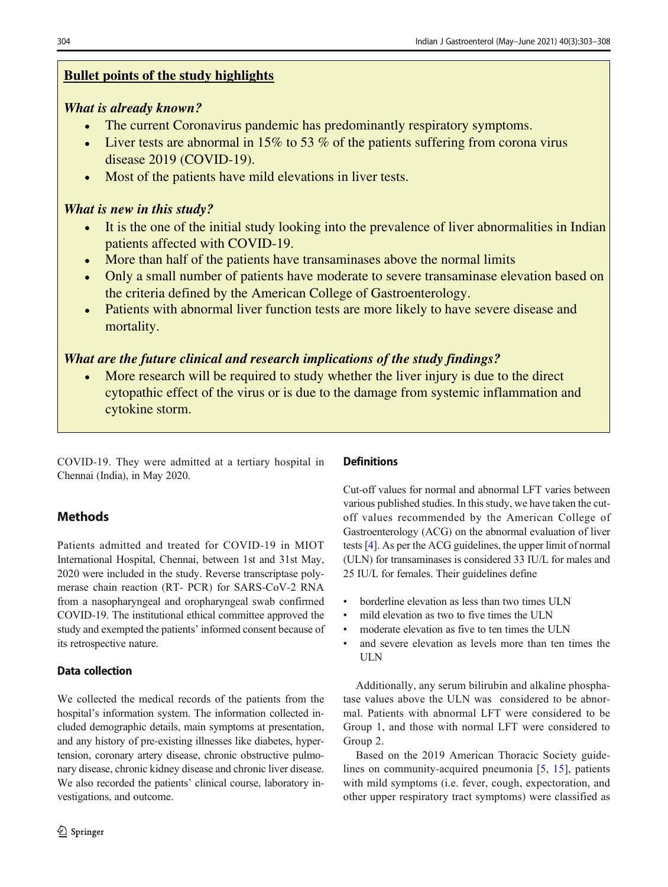# **Bullet points of the study highlights**

# *What is already known?*

- The current Coronavirus pandemic has predominantly respiratory symptoms.  $\bullet$
- Liver tests are abnormal in 15% to 53% of the patients suffering from corona virus  $\bullet$ disease 2019 (COVID-19).
- Most of the patients have mild elevations in liver tests.  $\bullet$

## *What is new in this study?*

- It is the one of the initial study looking into the prevalence of liver abnormalities in Indian  $\bullet$ patients affected with COVID-19.
- More than half of the patients have transaminases above the normal limits
- Only a small number of patients have moderate to severe transaminase elevation based on  $\bullet$ the criteria defined by the American College of Gastroenterology.
- Patients with abnormal liver function tests are more likely to have severe disease and  $\bullet$ mortality.

# *What are the future clinical and research implications of the study findings?*

More research will be required to study whether the liver injury is due to the direct  $\bullet$ cytopathic effect of the virus or is due to the damage from systemic inflammation and cytokine storm.

COVID-19. They were admitted at a tertiary hospital in Chennai (India), in May 2020.

# **Methods**

Patients admitted and treated for COVID-19 in MIOT International Hospital, Chennai, between 1st and 31st May, 2020 were included in the study. Reverse transcriptase polymerase chain reaction (RT- PCR) for SARS-CoV-2 RNA from a nasopharyngeal and oropharyngeal swab confirmed COVID-19. The institutional ethical committee approved the study and exempted the patients' informed consent because of its retrospective nature.

### Data collection

We collected the medical records of the patients from the hospital's information system. The information collected included demographic details, main symptoms at presentation, and any history of pre-existing illnesses like diabetes, hypertension, coronary artery disease, chronic obstructive pulmonary disease, chronic kidney disease and chronic liver disease. We also recorded the patients' clinical course, laboratory investigations, and outcome.

### **Definitions**

Cut-off values for normal and abnormal LFT varies between various published studies. In this study, we have taken the cutoff values recommended by the American College of Gastroenterology (ACG) on the abnormal evaluation of liver tests [4]. As per the ACG guidelines, the upper limit of normal (ULN) for transaminases is considered 33 IU/L for males and 25 IU/L for females. Their guidelines define

- borderline elevation as less than two times ULN
- mild elevation as two to five times the ULN
- moderate elevation as five to ten times the ULN
- and severe elevation as levels more than ten times the ULN

Additionally, any serum bilirubin and alkaline phosphatase values above the ULN was considered to be abnormal. Patients with abnormal LFT were considered to be Group 1, and those with normal LFT were considered to Group 2.

Based on the 2019 American Thoracic Society guidelines on community-acquired pneumonia [5, 15], patients with mild symptoms (i.e. fever, cough, expectoration, and other upper respiratory tract symptoms) were classified as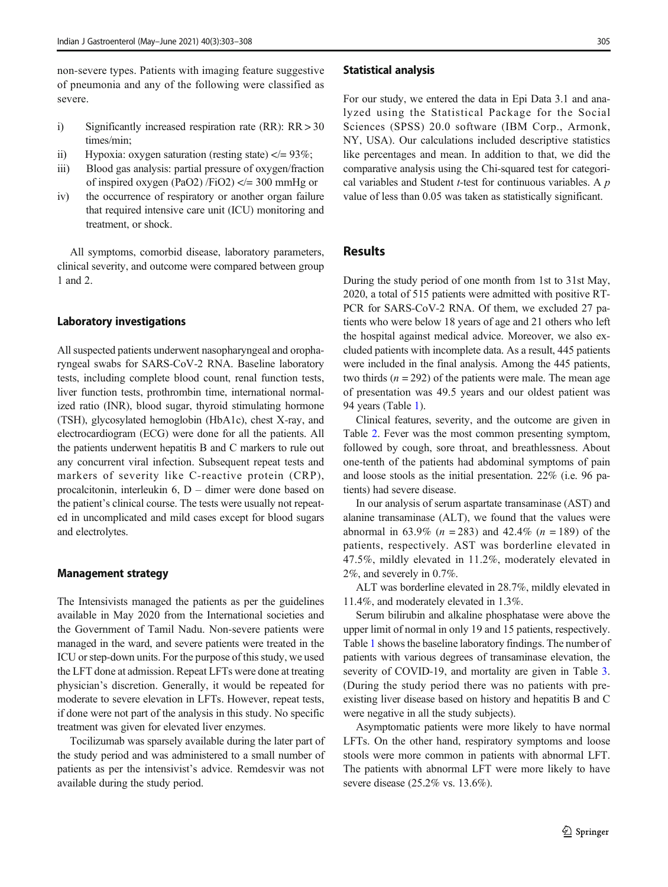non-severe types. Patients with imaging feature suggestive of pneumonia and any of the following were classified as severe.

- i) Significantly increased respiration rate (RR): RR > 30 times/min;
- ii) Hypoxia: oxygen saturation (resting state)  $\langle = 93\% \rangle$ ;
- iii) Blood gas analysis: partial pressure of oxygen/fraction of inspired oxygen (PaO2) /FiO2)  $\lt$  = 300 mmHg or
- iv) the occurrence of respiratory or another organ failure that required intensive care unit (ICU) monitoring and treatment, or shock.

All symptoms, comorbid disease, laboratory parameters, clinical severity, and outcome were compared between group 1 and 2.

#### Laboratory investigations

All suspected patients underwent nasopharyngeal and oropharyngeal swabs for SARS-CoV-2 RNA. Baseline laboratory tests, including complete blood count, renal function tests, liver function tests, prothrombin time, international normalized ratio (INR), blood sugar, thyroid stimulating hormone (TSH), glycosylated hemoglobin (HbA1c), chest X-ray, and electrocardiogram (ECG) were done for all the patients. All the patients underwent hepatitis B and C markers to rule out any concurrent viral infection. Subsequent repeat tests and markers of severity like C-reactive protein (CRP), procalcitonin, interleukin 6, D – dimer were done based on the patient's clinical course. The tests were usually not repeated in uncomplicated and mild cases except for blood sugars and electrolytes.

#### Management strategy

The Intensivists managed the patients as per the guidelines available in May 2020 from the International societies and the Government of Tamil Nadu. Non-severe patients were managed in the ward, and severe patients were treated in the ICU or step-down units. For the purpose of this study, we used the LFT done at admission. Repeat LFTs were done at treating physician's discretion. Generally, it would be repeated for moderate to severe elevation in LFTs. However, repeat tests, if done were not part of the analysis in this study. No specific treatment was given for elevated liver enzymes.

Tocilizumab was sparsely available during the later part of the study period and was administered to a small number of patients as per the intensivist's advice. Remdesvir was not available during the study period.

#### Statistical analysis

For our study, we entered the data in Epi Data 3.1 and analyzed using the Statistical Package for the Social Sciences (SPSS) 20.0 software (IBM Corp., Armonk, NY, USA). Our calculations included descriptive statistics like percentages and mean. In addition to that, we did the comparative analysis using the Chi-squared test for categorical variables and Student  $t$ -test for continuous variables. A  $p$ value of less than 0.05 was taken as statistically significant.

### **Results**

During the study period of one month from 1st to 31st May, 2020, a total of 515 patients were admitted with positive RT-PCR for SARS-CoV-2 RNA. Of them, we excluded 27 patients who were below 18 years of age and 21 others who left the hospital against medical advice. Moreover, we also excluded patients with incomplete data. As a result, 445 patients were included in the final analysis. Among the 445 patients, two thirds  $(n = 292)$  of the patients were male. The mean age of presentation was 49.5 years and our oldest patient was 94 years (Table 1).

Clinical features, severity, and the outcome are given in Table 2. Fever was the most common presenting symptom, followed by cough, sore throat, and breathlessness. About one-tenth of the patients had abdominal symptoms of pain and loose stools as the initial presentation. 22% (i.e. 96 patients) had severe disease.

In our analysis of serum aspartate transaminase (AST) and alanine transaminase (ALT), we found that the values were abnormal in 63.9% ( $n = 283$ ) and 42.4% ( $n = 189$ ) of the patients, respectively. AST was borderline elevated in 47.5%, mildly elevated in 11.2%, moderately elevated in 2%, and severely in 0.7%.

ALT was borderline elevated in 28.7%, mildly elevated in 11.4%, and moderately elevated in 1.3%.

Serum bilirubin and alkaline phosphatase were above the upper limit of normal in only 19 and 15 patients, respectively. Table 1 shows the baseline laboratory findings. The number of patients with various degrees of transaminase elevation, the severity of COVID-19, and mortality are given in Table 3. (During the study period there was no patients with preexisting liver disease based on history and hepatitis B and C were negative in all the study subjects).

Asymptomatic patients were more likely to have normal LFTs. On the other hand, respiratory symptoms and loose stools were more common in patients with abnormal LFT. The patients with abnormal LFT were more likely to have severe disease (25.2% vs. 13.6%).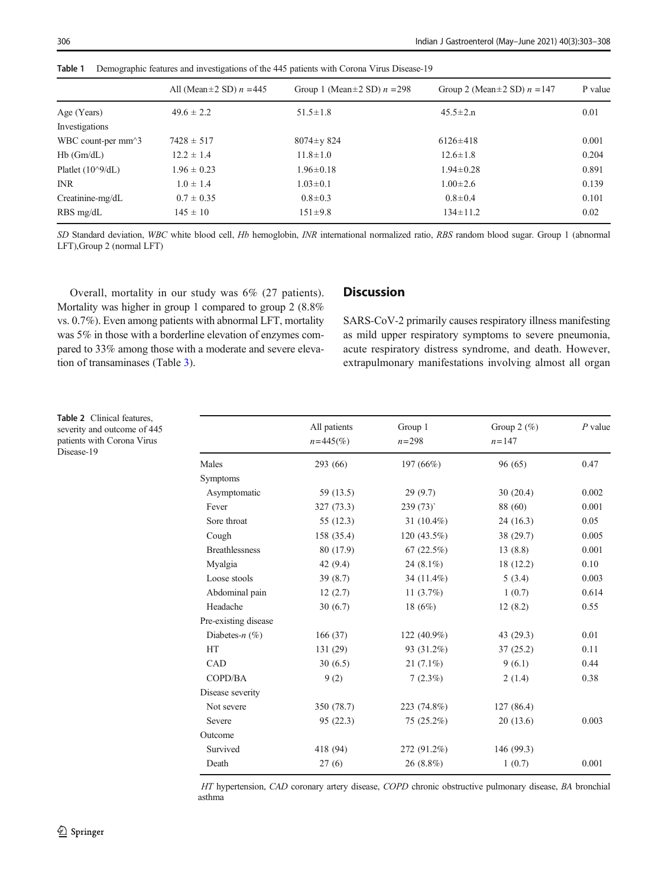|                      | All (Mean $\pm$ 2 SD) $n = 445$ | Group 1 (Mean $\pm$ 2 SD) $n = 298$ | Group 2 (Mean $\pm$ 2 SD) $n = 147$ | P value |
|----------------------|---------------------------------|-------------------------------------|-------------------------------------|---------|
| Age (Years)          | $49.6 \pm 2.2$                  | $51.5 \pm 1.8$                      | $45.5 \pm 2.n$                      | 0.01    |
| Investigations       |                                 |                                     |                                     |         |
| WBC count-per $mm^3$ | $7428 \pm 517$                  | $8074 \pm y 824$                    | $6126 \pm 418$                      | 0.001   |
| $Hb$ ( $Gm/dL$ )     | $12.2 \pm 1.4$                  | $11.8 \pm 1.0$                      | $12.6 \pm 1.8$                      | 0.204   |
| Platlet $(10^9/dL)$  | $1.96 \pm 0.23$                 | $1.96 \pm 0.18$                     | $1.94 \pm 0.28$                     | 0.891   |
| <b>INR</b>           | $1.0 \pm 1.4$                   | $1.03 \pm 0.1$                      | $1.00 \pm 2.6$                      | 0.139   |
| Creatinine- $mg/dL$  | $0.7 \pm 0.35$                  | $0.8 \pm 0.3$                       | $0.8 \pm 0.4$                       | 0.101   |
| $RBS$ mg/dL          | $145 \pm 10$                    | $151 \pm 9.8$                       | $134 \pm 11.2$                      | 0.02    |
|                      |                                 |                                     |                                     |         |

Table 1 Demographic features and investigations of the 445 patients with Corona Virus Disease-19

SD Standard deviation, WBC white blood cell, Hb hemoglobin, INR international normalized ratio, RBS random blood sugar. Group 1 (abnormal LFT),Group 2 (normal LFT)

Overall, mortality in our study was 6% (27 patients). Mortality was higher in group 1 compared to group 2 (8.8% vs. 0.7%). Even among patients with abnormal LFT, mortality was 5% in those with a borderline elevation of enzymes compared to 33% among those with a moderate and severe elevation of transaminases (Table 3).

### **Discussion**

SARS-CoV-2 primarily causes respiratory illness manifesting as mild upper respiratory symptoms to severe pneumonia, acute respiratory distress syndrome, and death. However, extrapulmonary manifestations involving almost all organ

Table 2 Clinical features, severity and outcome of 445 patients with Corona Virus Disease-19

|                       | All patients<br>$n = 445\frac{6}{6}$ | Group 1<br>$n = 298$ | Group $2 \ (\%)$<br>$n = 147$ | $P$ value |
|-----------------------|--------------------------------------|----------------------|-------------------------------|-----------|
| Males                 | 293 (66)                             | 197 (66%)            | 96 (65)                       | 0.47      |
| Symptoms              |                                      |                      |                               |           |
| Asymptomatic          | 59 (13.5)                            | 29(9.7)              | 30(20.4)                      | 0.002     |
| Fever                 | 327 (73.3)                           | 239(73)              | 88 (60)                       | 0.001     |
| Sore throat           | 55 (12.3)                            | 31 $(10.4\%)$        | 24(16.3)                      | 0.05      |
| Cough                 | 158 (35.4)                           | 120 (43.5%)          | 38 (29.7)                     | 0.005     |
| <b>Breathlessness</b> | 80 (17.9)                            | 67(22.5%)            | 13(8.8)                       | 0.001     |
| Myalgia               | 42 (9.4)                             | 24 $(8.1\%)$         | 18 (12.2)                     | 0.10      |
| Loose stools          | 39(8.7)                              | 34 (11.4%)           | 5(3.4)                        | 0.003     |
| Abdominal pain        | 12(2.7)                              | 11 $(3.7\%)$         | 1(0.7)                        | 0.614     |
| Headache              | 30(6.7)                              | 18 $(6%)$            | 12(8.2)                       | 0.55      |
| Pre-existing disease  |                                      |                      |                               |           |
| Diabetes- $n$ (%)     | 166(37)                              | 122 (40.9%)          | 43 (29.3)                     | 0.01      |
| HT                    | 131 (29)                             | 93 (31.2%)           | 37(25.2)                      | 0.11      |
| CAD                   | 30(6.5)                              | $21(7.1\%)$          | 9(6.1)                        | 0.44      |
| COPD/BA               | 9(2)                                 | 7(2.3%)              | 2(1.4)                        | 0.38      |
| Disease severity      |                                      |                      |                               |           |
| Not severe            | 350 (78.7)                           | 223 (74.8%)          | 127(86.4)                     |           |
| Severe                | 95(22.3)                             | 75 (25.2%)           | 20(13.6)                      | 0.003     |
| Outcome               |                                      |                      |                               |           |
| Survived              | 418 (94)                             | 272 (91.2%)          | 146 (99.3)                    |           |
| Death                 | 27(6)                                | 26 (8.8%)            | 1(0.7)                        | 0.001     |
|                       |                                      |                      |                               |           |

HT hypertension, CAD coronary artery disease, COPD chronic obstructive pulmonary disease, BA bronchial asthma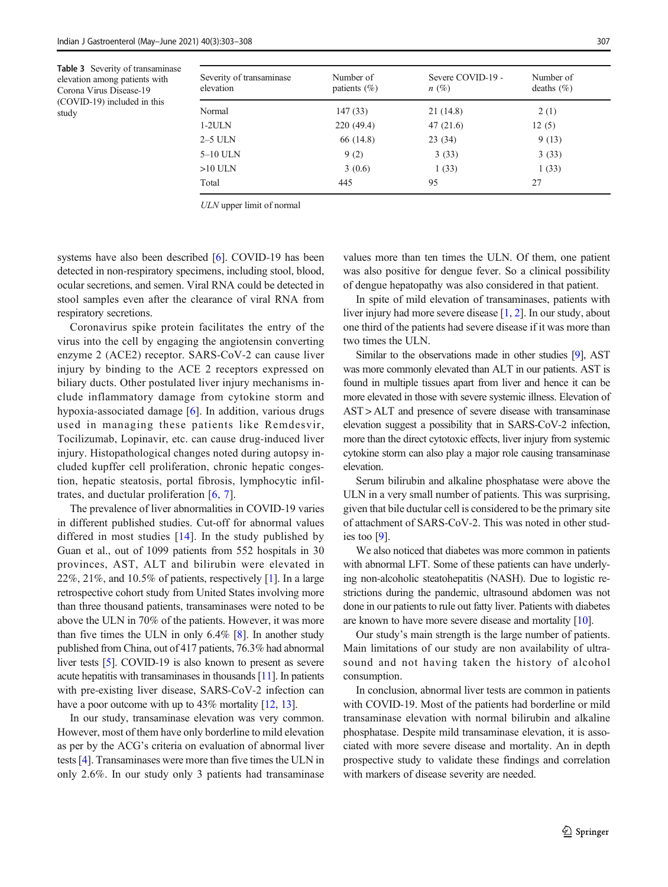Table 3 Severity of transaminase elevation among patients with Corona Virus Disease-19 (COVID-19) included in this study

| Severity of transaminase<br>elevation | Number of<br>patients $(\%)$ | Severe COVID-19 -<br>$n(\%)$ | Number of<br>deaths $(\% )$ |
|---------------------------------------|------------------------------|------------------------------|-----------------------------|
| Normal                                | 147(33)                      | 21 (14.8)                    | 2(1)                        |
| $1-2$ ULN                             | 220 (49.4)                   | 47(21.6)                     | 12(5)                       |
| $2-5$ ULN                             | 66 (14.8)                    | 23(34)                       | 9(13)                       |
| $5-10$ ULN                            | 9(2)                         | 3(33)                        | 3(33)                       |
| $>10$ ULN                             | 3(0.6)                       | 1(33)                        | 1(33)                       |
| Total                                 | 445                          | 95                           | 27                          |

ULN upper limit of normal

systems have also been described [6]. COVID-19 has been detected in non-respiratory specimens, including stool, blood, ocular secretions, and semen. Viral RNA could be detected in stool samples even after the clearance of viral RNA from respiratory secretions.

Coronavirus spike protein facilitates the entry of the virus into the cell by engaging the angiotensin converting enzyme 2 (ACE2) receptor. SARS-CoV-2 can cause liver injury by binding to the ACE 2 receptors expressed on biliary ducts. Other postulated liver injury mechanisms include inflammatory damage from cytokine storm and hypoxia-associated damage [6]. In addition, various drugs used in managing these patients like Remdesvir, Tocilizumab, Lopinavir, etc. can cause drug-induced liver injury. Histopathological changes noted during autopsy included kupffer cell proliferation, chronic hepatic congestion, hepatic steatosis, portal fibrosis, lymphocytic infiltrates, and ductular proliferation [6, 7].

The prevalence of liver abnormalities in COVID-19 varies in different published studies. Cut-off for abnormal values differed in most studies  $[14]$ . In the study published by Guan et al., out of 1099 patients from 552 hospitals in 30 provinces, AST, ALT and bilirubin were elevated in 22%, 21%, and 10.5% of patients, respectively [1]. In a large retrospective cohort study from United States involving more than three thousand patients, transaminases were noted to be above the ULN in 70% of the patients. However, it was more than five times the ULN in only 6.4% [8]. In another study published from China, out of 417 patients, 76.3% had abnormal liver tests [5]. COVID-19 is also known to present as severe acute hepatitis with transaminases in thousands [11]. In patients with pre-existing liver disease, SARS-CoV-2 infection can have a poor outcome with up to 43% mortality [12, 13].

In our study, transaminase elevation was very common. However, most of them have only borderline to mild elevation as per by the ACG's criteria on evaluation of abnormal liver tests [4]. Transaminases were more than five times the ULN in only 2.6%. In our study only 3 patients had transaminase

values more than ten times the ULN. Of them, one patient was also positive for dengue fever. So a clinical possibility of dengue hepatopathy was also considered in that patient.

In spite of mild elevation of transaminases, patients with liver injury had more severe disease [1, 2]. In our study, about one third of the patients had severe disease if it was more than two times the ULN.

Similar to the observations made in other studies [9], AST was more commonly elevated than ALT in our patients. AST is found in multiple tissues apart from liver and hence it can be more elevated in those with severe systemic illness. Elevation of AST > ALT and presence of severe disease with transaminase elevation suggest a possibility that in SARS-CoV-2 infection, more than the direct cytotoxic effects, liver injury from systemic cytokine storm can also play a major role causing transaminase elevation.

Serum bilirubin and alkaline phosphatase were above the ULN in a very small number of patients. This was surprising, given that bile ductular cell is considered to be the primary site of attachment of SARS-CoV-2. This was noted in other studies too [9].

We also noticed that diabetes was more common in patients with abnormal LFT. Some of these patients can have underlying non-alcoholic steatohepatitis (NASH). Due to logistic restrictions during the pandemic, ultrasound abdomen was not done in our patients to rule out fatty liver. Patients with diabetes are known to have more severe disease and mortality [10].

Our study's main strength is the large number of patients. Main limitations of our study are non availability of ultrasound and not having taken the history of alcohol consumption.

In conclusion, abnormal liver tests are common in patients with COVID-19. Most of the patients had borderline or mild transaminase elevation with normal bilirubin and alkaline phosphatase. Despite mild transaminase elevation, it is associated with more severe disease and mortality. An in depth prospective study to validate these findings and correlation with markers of disease severity are needed.